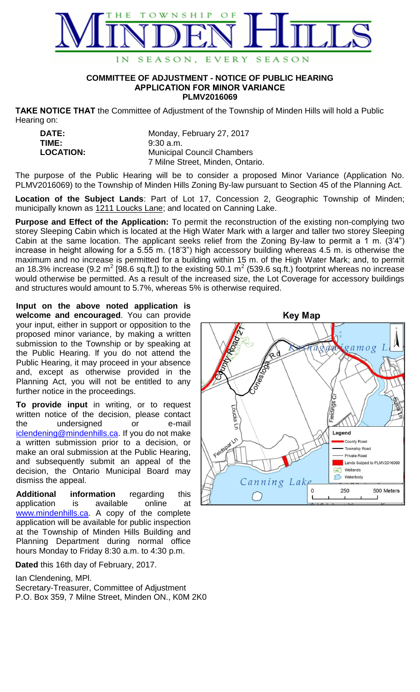

## **COMMITTEE OF ADJUSTMENT - NOTICE OF PUBLIC HEARING APPLICATION FOR MINOR VARIANCE PLMV2016069**

**TAKE NOTICE THAT** the Committee of Adjustment of the Township of Minden Hills will hold a Public Hearing on:

| <b>DATE:</b>     | Monday, February 27, 2017         |
|------------------|-----------------------------------|
| TIME:            | $9:30$ a.m.                       |
| <b>LOCATION:</b> | <b>Municipal Council Chambers</b> |
|                  | 7 Milne Street, Minden, Ontario.  |

The purpose of the Public Hearing will be to consider a proposed Minor Variance (Application No. PLMV2016069) to the Township of Minden Hills Zoning By-law pursuant to Section 45 of the Planning Act.

**Location of the Subject Lands**: Part of Lot 17, Concession 2, Geographic Township of Minden; municipally known as 1211 Loucks Lane; and located on Canning Lake.

**Purpose and Effect of the Application:** To permit the reconstruction of the existing non-complying two storey Sleeping Cabin which is located at the High Water Mark with a larger and taller two storey Sleeping Cabin at the same location. The applicant seeks relief from the Zoning By-law to permit a 1 m. (3'4") increase in height allowing for a 5.55 m. (18'3") high accessory building whereas 4.5 m. is otherwise the maximum and no increase is permitted for a building within 15 m. of the High Water Mark; and, to permit an 18.3% increase (9.2 m<sup>2</sup> [98.6 sq.ft.]) to the existing 50.1 m<sup>2</sup> (539.6 sq.ft.) footprint whereas no increase would otherwise be permitted. As a result of the increased size, the Lot Coverage for accessory buildings and structures would amount to 5.7%, whereas 5% is otherwise required.

**Input on the above noted application is welcome and encouraged**. You can provide your input, either in support or opposition to the proposed minor variance, by making a written submission to the Township or by speaking at the Public Hearing. lf you do not attend the Public Hearing, it may proceed in your absence and, except as otherwise provided in the Planning Act, you will not be entitled to any further notice in the proceedings.

**To provide input** in writing, or to request written notice of the decision, please contact the undersigned or e-mail [iclendening@mindenhills.ca.](mailto:iclendening@mindenhills.ca) If you do not make a written submission prior to a decision, or make an oral submission at the Public Hearing, and subsequently submit an appeal of the decision, the Ontario Municipal Board may dismiss the appeal.

**Additional information** regarding this application is available online at [www.mindenhills.ca.](http://www.mindenhills.ca/) A copy of the complete application will be available for public inspection at the Township of Minden Hills Building and Planning Department during normal office hours Monday to Friday 8:30 a.m. to 4:30 p.m.

**Dated** this 16th day of February, 2017.

Ian Clendening, MPl.

Secretary-Treasurer, Committee of Adjustment P.O. Box 359, 7 Milne Street, Minden ON., K0M 2K0

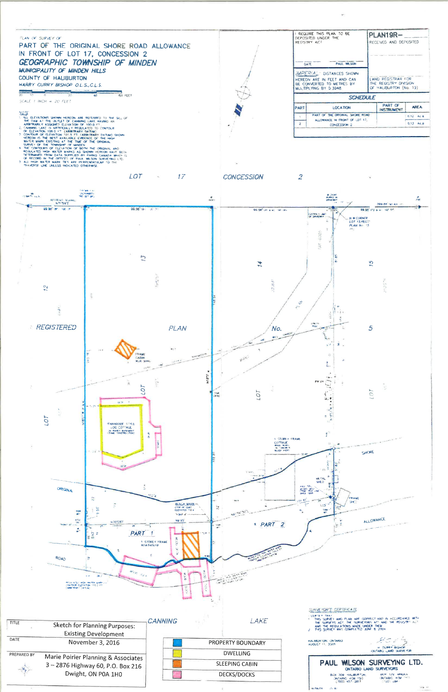

**AREA** 

 $0.12 - AC \pm$ 

0.13 Ac. $\pm$ 

- 
- 



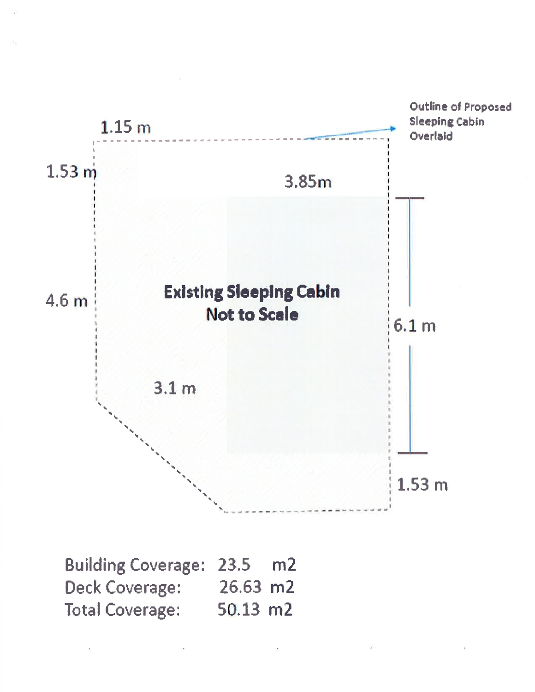

| Building Coverage: 23.5 m2 |            |  |
|----------------------------|------------|--|
| Deck Coverage:             | $26.63$ m2 |  |
| <b>Total Coverage:</b>     | $50.13$ m2 |  |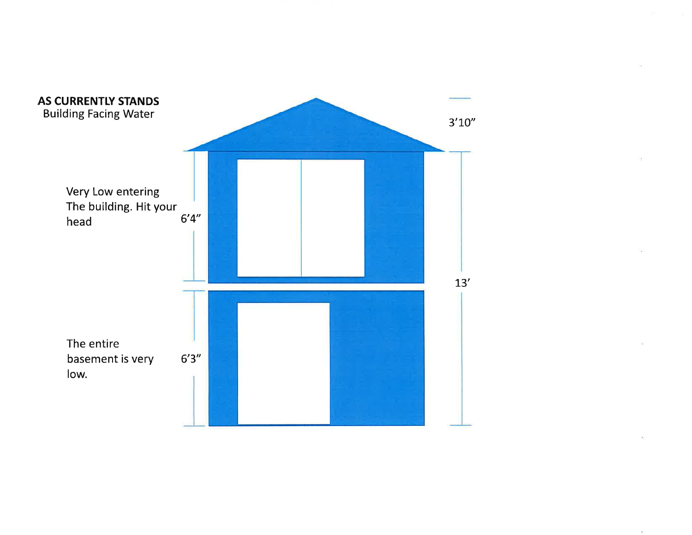

 $\pm 1$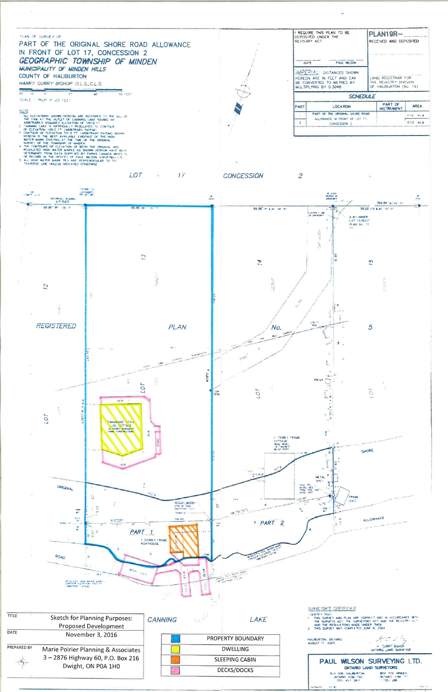## REQUIRE THIS PLAN TO BE PLAN19R-PLAN OF SURVEY OF DEPOSITED UNDER THE REGISTRY ACT RECEIVED AND DEPOSITED PART OF THE ORIGINAL SHORE ROAD ALLOWANCE IN FRONT OF LOT 17, CONCESSION 2 GEOGRAPHIC TOWNSHIP OF MINDEN PAUL WILSON DATE MUNICIPALITY OF MINDEN HILLS IMPERIAL: DISTANCES SHOWN COUNTY OF HALIBURTON LAND REGISTRAR FOR HEREON ARE IN FEET AND CAN BE CONVERTED TO METRES BY HARRY CURRY BISHOP O.L.S., C.L.S. OF HAUBURTON (No. 19)  $\frac{1}{2}$  $\frac{1}{20}$ 군<br>40  $50$  FEET  $\frac{1}{10}$ **SCHEDULE** SCALE 1 INCH  $\approx$  20 FEET PART OF **PART AREA** VOTE CAN AT THE OUTDUING SHOWN HEREON ARE REFERRED TO THE SILL OF THE DAM AT THE OUTLET OF CANNING LAKE HAVAIG AN ARBITRARELY ASSIGNED ELEVATION OF TOO FT CONTOUR OF EXEMPTION OF THE TORONTOUR OF EXEMPTION TO THE REST AVAI **LOCATION INSTRUMENT** PART OF THE ORIGINAL SHORE ROAD  $0.12 -$  Ac  $\pm$ ALLOWANCE IN FRONT OF 1,0T 17.  $0.13 - Ac.±$  $\overline{z}$ CONCESSION Z LOT -17 **CONCESSION**  $\overline{2}$  $\mathcal{A}_\mathbf{a}$ **TATOR (C)**<br>(ASTURNE)<br>TRE SET AT -<br>81/41523-04<br>DNYK2019  $(834)$  $\frac{1}{\left(2\pi\right)}$ N7159'E 399.84 (a) 400 (P) 29.96 **The** 99.96 TH 100 11 99.96" (Pt. & N) 100" (P) 99.90<sup>1</sup> (12.6.9) root (in OF DANA WAY  $\frac{1}{2}$

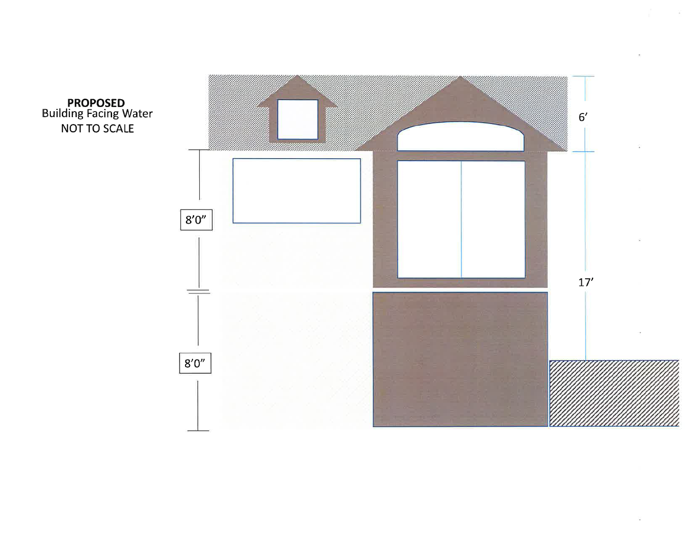